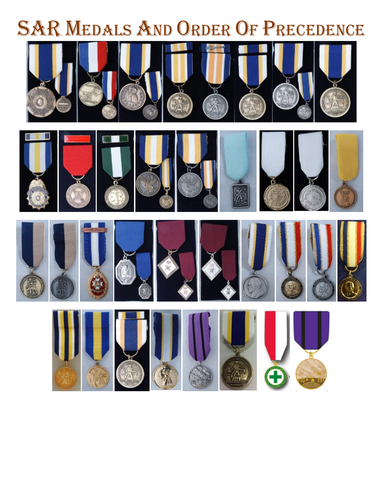# **SAR MEDALS AND ORDER OF PRECEDENCE**